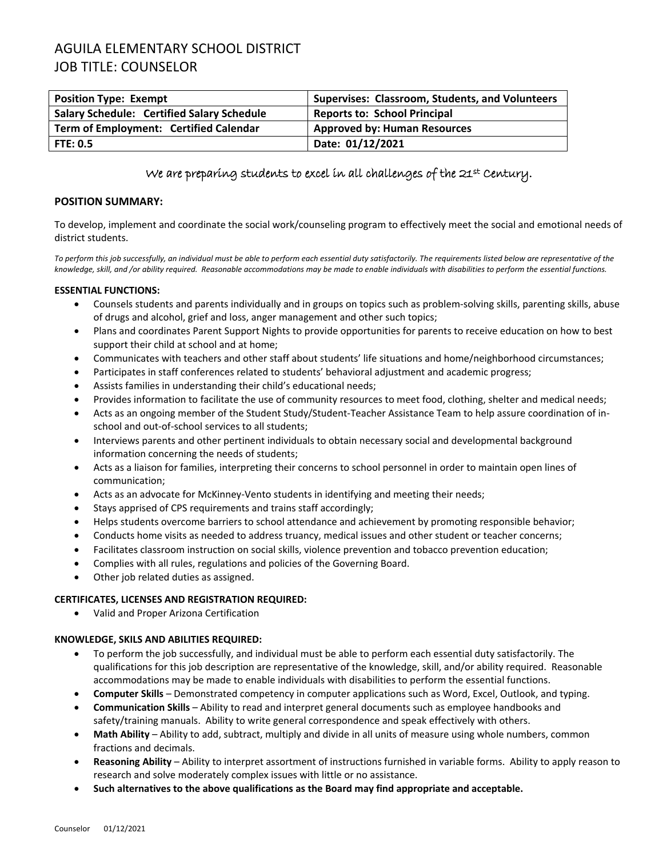# AGUILA ELEMENTARY SCHOOL DISTRICT JOB TITLE: COUNSELOR

| <b>Position Type: Exempt</b>                      | Supervises: Classroom, Students, and Volunteers |
|---------------------------------------------------|-------------------------------------------------|
| <b>Salary Schedule: Certified Salary Schedule</b> | <b>Reports to: School Principal</b>             |
| Term of Employment: Certified Calendar            | <b>Approved by: Human Resources</b>             |
| FTE: 0.5                                          | Date: 01/12/2021                                |

### We are preparing students to excel in all challenges of the 21st Century.

#### **POSITION SUMMARY:**

To develop, implement and coordinate the social work/counseling program to effectively meet the social and emotional needs of district students.

*To perform this job successfully, an individual must be able to perform each essential duty satisfactorily. The requirements listed below are representative of the knowledge, skill, and /or ability required. Reasonable accommodations may be made to enable individuals with disabilities to perform the essential functions.*

#### **ESSENTIAL FUNCTIONS:**

- Counsels students and parents individually and in groups on topics such as problem-solving skills, parenting skills, abuse of drugs and alcohol, grief and loss, anger management and other such topics;
- Plans and coordinates Parent Support Nights to provide opportunities for parents to receive education on how to best support their child at school and at home;
- Communicates with teachers and other staff about students' life situations and home/neighborhood circumstances;
- Participates in staff conferences related to students' behavioral adjustment and academic progress;
- Assists families in understanding their child's educational needs;
- Provides information to facilitate the use of community resources to meet food, clothing, shelter and medical needs;
- Acts as an ongoing member of the Student Study/Student-Teacher Assistance Team to help assure coordination of inschool and out-of-school services to all students;
- Interviews parents and other pertinent individuals to obtain necessary social and developmental background information concerning the needs of students;
- Acts as a liaison for families, interpreting their concerns to school personnel in order to maintain open lines of communication;
- Acts as an advocate for McKinney-Vento students in identifying and meeting their needs;
- Stays apprised of CPS requirements and trains staff accordingly;
- Helps students overcome barriers to school attendance and achievement by promoting responsible behavior;
- Conducts home visits as needed to address truancy, medical issues and other student or teacher concerns;
- Facilitates classroom instruction on social skills, violence prevention and tobacco prevention education;
- Complies with all rules, regulations and policies of the Governing Board.
- Other job related duties as assigned.

#### **CERTIFICATES, LICENSES AND REGISTRATION REQUIRED:**

• Valid and Proper Arizona Certification

#### **KNOWLEDGE, SKILS AND ABILITIES REQUIRED:**

- To perform the job successfully, and individual must be able to perform each essential duty satisfactorily. The qualifications for this job description are representative of the knowledge, skill, and/or ability required. Reasonable accommodations may be made to enable individuals with disabilities to perform the essential functions.
- **Computer Skills** Demonstrated competency in computer applications such as Word, Excel, Outlook, and typing.
- **Communication Skills** Ability to read and interpret general documents such as employee handbooks and safety/training manuals. Ability to write general correspondence and speak effectively with others.
- **Math Ability** Ability to add, subtract, multiply and divide in all units of measure using whole numbers, common fractions and decimals.
- **Reasoning Ability** Ability to interpret assortment of instructions furnished in variable forms. Ability to apply reason to research and solve moderately complex issues with little or no assistance.
- **Such alternatives to the above qualifications as the Board may find appropriate and acceptable.**